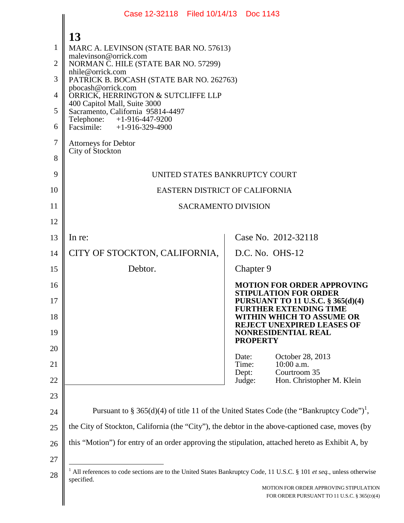|                | Case 12-32118 Filed 10/14/13 Doc 1143                                                                                             |                |                                                                                       |
|----------------|-----------------------------------------------------------------------------------------------------------------------------------|----------------|---------------------------------------------------------------------------------------|
|                | 13                                                                                                                                |                |                                                                                       |
| 1              | MARC A. LEVINSON (STATE BAR NO. 57613)                                                                                            |                |                                                                                       |
| $\overline{2}$ | malevinson@orrick.com<br>NORMAN C. HILE (STATE BAR NO. 57299)                                                                     |                |                                                                                       |
| 3              | nhile@orrick.com<br>PATRICK B. BOCASH (STATE BAR NO. 262763)                                                                      |                |                                                                                       |
| 4              | pbocash@orrick.com<br>ORRICK, HERRINGTON & SUTCLIFFE LLP                                                                          |                |                                                                                       |
| 5              | 400 Capitol Mall, Suite 3000<br>Sacramento, California 95814-4497                                                                 |                |                                                                                       |
| 6              | Telephone: +1-916-447-9200<br>Facsimile: $+1-916-329-4900$                                                                        |                |                                                                                       |
| 7              | <b>Attorneys for Debtor</b>                                                                                                       |                |                                                                                       |
| 8              | City of Stockton                                                                                                                  |                |                                                                                       |
| 9              | UNITED STATES BANKRUPTCY COURT                                                                                                    |                |                                                                                       |
| 10             | EASTERN DISTRICT OF CALIFORNIA                                                                                                    |                |                                                                                       |
| 11             | <b>SACRAMENTO DIVISION</b>                                                                                                        |                |                                                                                       |
| 12             |                                                                                                                                   |                |                                                                                       |
| 13             | In re:                                                                                                                            |                | Case No. 2012-32118                                                                   |
| 14             | CITY OF STOCKTON, CALIFORNIA,                                                                                                     |                | D.C. No. OHS-12                                                                       |
| 15             | Debtor.                                                                                                                           |                | Chapter 9                                                                             |
| 16             |                                                                                                                                   |                | <b>MOTION FOR ORDER APPROVING</b><br><b>STIPULATION FOR ORDER</b>                     |
| 17             |                                                                                                                                   |                | PURSUANT TO 11 U.S.C. § 365(d)(4)<br><b>FURTHER EXTENDING TIME</b>                    |
| 18             |                                                                                                                                   |                | WITHIN WHICH TO ASSUME OR<br><b>REJECT UNEXPIRED LEASES OF</b>                        |
| 19             |                                                                                                                                   |                | <b>NONRESIDENTIAL REAL</b><br><b>PROPERTY</b>                                         |
| 20             |                                                                                                                                   | Date:          | October 28, 2013                                                                      |
| 21             |                                                                                                                                   | Time:<br>Dept: | $10:00$ a.m.<br>Courtroom 35                                                          |
| 22             |                                                                                                                                   | Judge:         | Hon. Christopher M. Klein                                                             |
| 23             |                                                                                                                                   |                |                                                                                       |
| 24             | Pursuant to § 365(d)(4) of title 11 of the United States Code (the "Bankruptcy Code") <sup>1</sup> ,                              |                |                                                                                       |
| 25             | the City of Stockton, California (the "City"), the debtor in the above-captioned case, moves (by                                  |                |                                                                                       |
| 26             | this "Motion") for entry of an order approving the stipulation, attached hereto as Exhibit A, by                                  |                |                                                                                       |
| 27             |                                                                                                                                   |                |                                                                                       |
| 28             | All references to code sections are to the United States Bankruptcy Code, 11 U.S.C. § 101 et seq., unless otherwise<br>specified. |                |                                                                                       |
|                |                                                                                                                                   |                | MOTION FOR ORDER APPROVING STIPULATION<br>FOR ORDER PURSUANT TO 11 U.S.C. § 365(D)(4) |
|                |                                                                                                                                   |                |                                                                                       |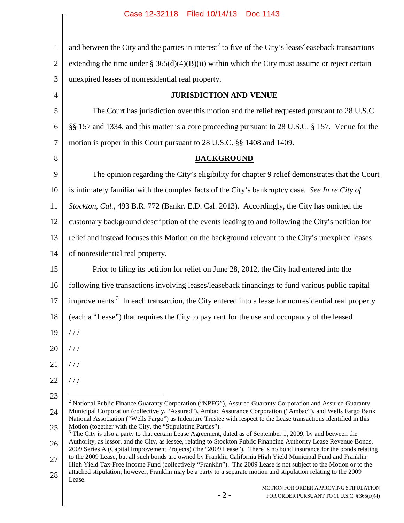1 2 3 4 5 6 7 8 9 10 11 12 13 14 15 16 17 18 19 20 21 22 23 24 25 26 27 28 and between the City and the parties in interest<sup>2</sup> to five of the City's lease/leaseback transactions extending the time under  $\S 365(d)(4)(B)(ii)$  within which the City must assume or reject certain unexpired leases of nonresidential real property. **JURISDICTION AND VENUE** The Court has jurisdiction over this motion and the relief requested pursuant to 28 U.S.C. §§ 157 and 1334, and this matter is a core proceeding pursuant to 28 U.S.C. § 157. Venue for the motion is proper in this Court pursuant to 28 U.S.C. §§ 1408 and 1409. **BACKGROUND** The opinion regarding the City's eligibility for chapter 9 relief demonstrates that the Court is intimately familiar with the complex facts of the City's bankruptcy case. *See In re City of Stockton, Cal.*, 493 B.R. 772 (Bankr. E.D. Cal. 2013). Accordingly, the City has omitted the customary background description of the events leading to and following the City's petition for relief and instead focuses this Motion on the background relevant to the City's unexpired leases of nonresidential real property. Prior to filing its petition for relief on June 28, 2012, the City had entered into the following five transactions involving leases/leaseback financings to fund various public capital improvements.<sup>3</sup> In each transaction, the City entered into a lease for nonresidential real property (each a "Lease") that requires the City to pay rent for the use and occupancy of the leased  $//$ / / /  $//$ / / / <sup>2</sup> National Public Finance Guaranty Corporation ("NPFG"), Assured Guaranty Corporation and Assured Guaranty Municipal Corporation (collectively, "Assured"), Ambac Assurance Corporation ("Ambac"), and Wells Fargo Bank National Association ("Wells Fargo") as Indenture Trustee with respect to the Lease transactions identified in this Motion (together with the City, the "Stipulating Parties").  $3$  The City is also a party to that certain Lease Agreement, dated as of September 1, 2009, by and between the Authority, as lessor, and the City, as lessee, relating to Stockton Public Financing Authority Lease Revenue Bonds, 2009 Series A (Capital Improvement Projects) (the "2009 Lease"). There is no bond insurance for the bonds relating to the 2009 Lease, but all such bonds are owned by Franklin California High Yield Municipal Fund and Franklin High Yield Tax-Free Income Fund (collectively "Franklin"). The 2009 Lease is not subject to the Motion or to the attached stipulation; however, Franklin may be a party to a separate motion and stipulation relating to the 2009 Lease.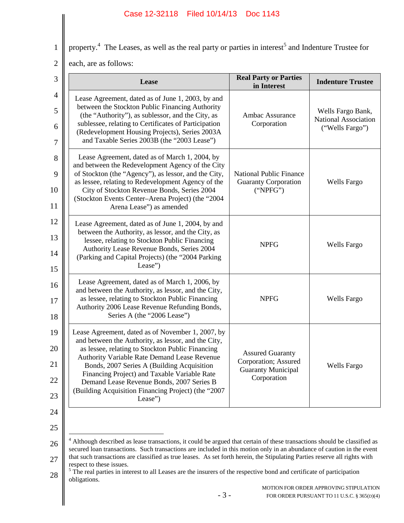property.<sup>4</sup> The Leases, as well as the real party or parties in interest<sup>5</sup> and Indenture Trustee for

2 each, are as follows:

1

| <b>Real Party or Parties</b><br>in Interest                                                 | <b>Indenture Trustee</b>                                     |
|---------------------------------------------------------------------------------------------|--------------------------------------------------------------|
| Ambac Assurance<br>Corporation                                                              | Wells Fargo Bank,<br>National Association<br>("Wells Fargo") |
| <b>National Public Finance</b><br><b>Guaranty Corporation</b><br>("NPEG")                   | <b>Wells Fargo</b>                                           |
| <b>NPFG</b>                                                                                 | Wells Fargo                                                  |
| <b>NPFG</b>                                                                                 | Wells Fargo                                                  |
| <b>Assured Guaranty</b><br>Corporation; Assured<br><b>Guaranty Municipal</b><br>Corporation | <b>Wells Fargo</b>                                           |
|                                                                                             |                                                              |

28  $<sup>5</sup>$  The real parties in interest to all Leases are the insurers of the respective bond and certificate of participation</sup> obligations.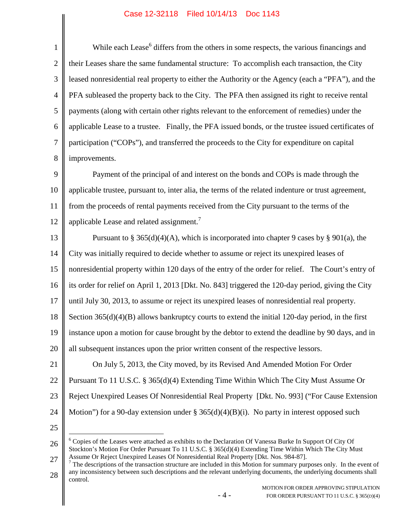1 2 3 4 5 6 7 8 While each Lease<sup>6</sup> differs from the others in some respects, the various financings and their Leases share the same fundamental structure: To accomplish each transaction, the City leased nonresidential real property to either the Authority or the Agency (each a "PFA"), and the PFA subleased the property back to the City. The PFA then assigned its right to receive rental payments (along with certain other rights relevant to the enforcement of remedies) under the applicable Lease to a trustee. Finally, the PFA issued bonds, or the trustee issued certificates of participation ("COPs"), and transferred the proceeds to the City for expenditure on capital improvements.

9 10 11 12 Payment of the principal of and interest on the bonds and COPs is made through the applicable trustee, pursuant to, inter alia, the terms of the related indenture or trust agreement, from the proceeds of rental payments received from the City pursuant to the terms of the applicable Lease and related assignment.<sup>7</sup>

13 14 15 16 17 18 19 20 21 Pursuant to § 365(d)(4)(A), which is incorporated into chapter 9 cases by § 901(a), the City was initially required to decide whether to assume or reject its unexpired leases of nonresidential property within 120 days of the entry of the order for relief. The Court's entry of its order for relief on April 1, 2013 [Dkt. No. 843] triggered the 120-day period, giving the City until July 30, 2013, to assume or reject its unexpired leases of nonresidential real property. Section 365(d)(4)(B) allows bankruptcy courts to extend the initial 120-day period, in the first instance upon a motion for cause brought by the debtor to extend the deadline by 90 days, and in all subsequent instances upon the prior written consent of the respective lessors. On July 5, 2013, the City moved, by its Revised And Amended Motion For Order

22 23 24 Pursuant To 11 U.S.C. § 365(d)(4) Extending Time Within Which The City Must Assume Or Reject Unexpired Leases Of Nonresidential Real Property [Dkt. No. 993] ("For Cause Extension Motion") for a 90-day extension under  $\S 365(d)(4)(B)(i)$ . No party in interest opposed such

25

26 27 <sup>6</sup> Copies of the Leases were attached as exhibits to the Declaration Of Vanessa Burke In Support Of City Of Stockton's Motion For Order Pursuant To 11 U.S.C. § 365(d)(4) Extending Time Within Which The City Must Assume Or Reject Unexpired Leases Of Nonresidential Real Property [Dkt. Nos. 984-87].

28  $<sup>7</sup>$  The descriptions of the transaction structure are included in this Motion for summary purposes only. In the event of</sup> any inconsistency between such descriptions and the relevant underlying documents, the underlying documents shall control.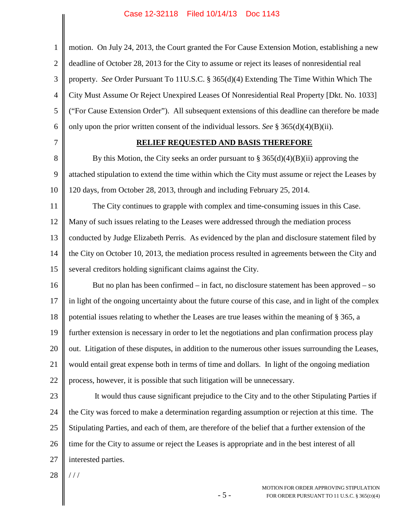| $\mathbf{1}$   | motion. On July 24, 2013, the Court granted the For Cause Extension Motion, establishing a new        |
|----------------|-------------------------------------------------------------------------------------------------------|
| $\overline{2}$ | deadline of October 28, 2013 for the City to assume or reject its leases of nonresidential real       |
| 3              | property. See Order Pursuant To 11U.S.C. § 365(d)(4) Extending The Time Within Which The              |
| $\overline{4}$ | City Must Assume Or Reject Unexpired Leases Of Nonresidential Real Property [Dkt. No. 1033]           |
| 5              | ("For Cause Extension Order"). All subsequent extensions of this deadline can therefore be made       |
| 6              | only upon the prior written consent of the individual lessors. See § 365(d)(4)(B)(ii).                |
| 7              | RELIEF REQUESTED AND BASIS THEREFORE                                                                  |
| 8              | By this Motion, the City seeks an order pursuant to $\S 365(d)(4)(B)(ii)$ approving the               |
| 9              | attached stipulation to extend the time within which the City must assume or reject the Leases by     |
| 10             | 120 days, from October 28, 2013, through and including February 25, 2014.                             |
| 11             | The City continues to grapple with complex and time-consuming issues in this Case.                    |
| 12             | Many of such issues relating to the Leases were addressed through the mediation process               |
| 13             | conducted by Judge Elizabeth Perris. As evidenced by the plan and disclosure statement filed by       |
| 14             | the City on October 10, 2013, the mediation process resulted in agreements between the City and       |
| 15             | several creditors holding significant claims against the City.                                        |
| 16             | But no plan has been confirmed – in fact, no disclosure statement has been approved – so              |
| 17             | in light of the ongoing uncertainty about the future course of this case, and in light of the complex |
| 18             | potential issues relating to whether the Leases are true leases within the meaning of § 365, a        |
| 19             | further extension is necessary in order to let the negotiations and plan confirmation process play    |
| 20             | out. Litigation of these disputes, in addition to the numerous other issues surrounding the Leases,   |
| 21             | would entail great expense both in terms of time and dollars. In light of the ongoing mediation       |
| 22             | process, however, it is possible that such litigation will be unnecessary.                            |
| 23             | It would thus cause significant prejudice to the City and to the other Stipulating Parties if         |
| 24             | the City was forced to make a determination regarding assumption or rejection at this time. The       |
| 25             | Stipulating Parties, and each of them, are therefore of the belief that a further extension of the    |
| 26             | time for the City to assume or reject the Leases is appropriate and in the best interest of all       |
| 27             | interested parties.                                                                                   |
| 28             | //                                                                                                    |
|                | MOTION FOR ORDER APPROVING STIPULATION<br>$-5-$<br>FOR ORDER PURSUANT TO 11 U.S.C. § 365(D)(4)        |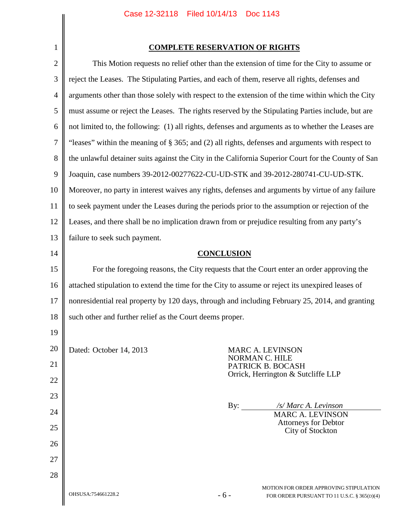|--|

| $\overline{2}$ |                                                          | This Motion requests no relief other than the extension of time for the City to assume or           |  |
|----------------|----------------------------------------------------------|-----------------------------------------------------------------------------------------------------|--|
| 3              |                                                          | reject the Leases. The Stipulating Parties, and each of them, reserve all rights, defenses and      |  |
| $\overline{4}$ |                                                          | arguments other than those solely with respect to the extension of the time within which the City   |  |
| 5              |                                                          | must assume or reject the Leases. The rights reserved by the Stipulating Parties include, but are   |  |
| 6              |                                                          | not limited to, the following: (1) all rights, defenses and arguments as to whether the Leases are  |  |
| 7              |                                                          | "leases" within the meaning of § 365; and (2) all rights, defenses and arguments with respect to    |  |
| 8              |                                                          | the unlawful detainer suits against the City in the California Superior Court for the County of San |  |
| 9              |                                                          | Joaquin, case numbers 39-2012-00277622-CU-UD-STK and 39-2012-280741-CU-UD-STK.                      |  |
| 10             |                                                          | Moreover, no party in interest waives any rights, defenses and arguments by virtue of any failure   |  |
| 11             |                                                          | to seek payment under the Leases during the periods prior to the assumption or rejection of the     |  |
| 12             |                                                          | Leases, and there shall be no implication drawn from or prejudice resulting from any party's        |  |
| 13             | failure to seek such payment.                            |                                                                                                     |  |
| 14             | <b>CONCLUSION</b>                                        |                                                                                                     |  |
| 15             |                                                          | For the foregoing reasons, the City requests that the Court enter an order approving the            |  |
| 16             |                                                          | attached stipulation to extend the time for the City to assume or reject its unexpired leases of    |  |
| 17             |                                                          | nonresidential real property by 120 days, through and including February 25, 2014, and granting     |  |
| 18             | such other and further relief as the Court deems proper. |                                                                                                     |  |
| 19             |                                                          |                                                                                                     |  |
| 20             | Dated: October 14, 2013                                  | MARC A. LEVINSON                                                                                    |  |
| 21             |                                                          | NORMAN C. HILE<br>PATRICK B. BOCASH                                                                 |  |
| 22             |                                                          | Orrick, Herrington & Sutcliffe LLP                                                                  |  |
| 23             |                                                          |                                                                                                     |  |
| 24             |                                                          | By:<br>/s/ Marc A. Levinson<br><b>MARC A. LEVINSON</b>                                              |  |
| 25             |                                                          | Attorneys for Debtor<br>City of Stockton                                                            |  |
| 26             |                                                          |                                                                                                     |  |
| 27             |                                                          |                                                                                                     |  |
| 28             |                                                          |                                                                                                     |  |
|                | OHSUSA:754661228.2                                       | MOTION FOR ORDER APPROVING STIPULATION<br>$-6-$<br>FOR ORDER PURSUANT TO 11 U.S.C. § 365(D)(4)      |  |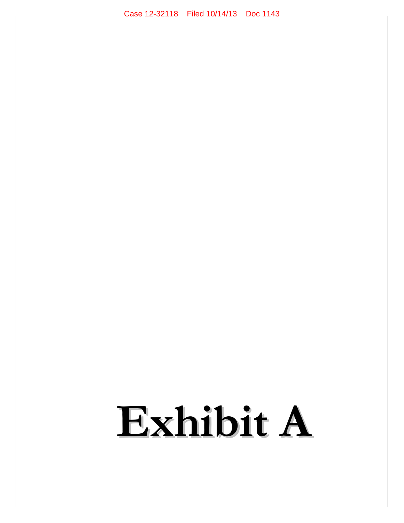# **Exhibit A**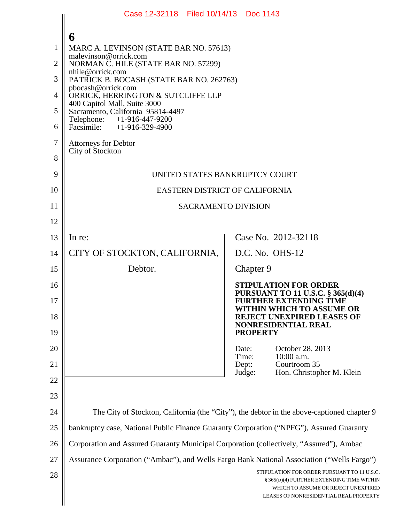|                                                           | Case 12-32118 Filed 10/14/13 Doc 1143                                                                                                                                                                                                                                                                                                                                                                                          |                                                                                                                                                                           |  |
|-----------------------------------------------------------|--------------------------------------------------------------------------------------------------------------------------------------------------------------------------------------------------------------------------------------------------------------------------------------------------------------------------------------------------------------------------------------------------------------------------------|---------------------------------------------------------------------------------------------------------------------------------------------------------------------------|--|
| 1<br>$\overline{2}$<br>3<br>$\overline{4}$<br>5<br>6<br>7 | 6<br>MARC A. LEVINSON (STATE BAR NO. 57613)<br>malevinson@orrick.com<br>NORMAN C. HILE (STATE BAR NO. 57299)<br>nhile@orrick.com<br>PATRICK B. BOCASH (STATE BAR NO. 262763)<br>pbocash@orrick.com<br>ORRICK, HERRINGTON & SUTCLIFFE LLP<br>400 Capitol Mall, Suite 3000<br>Sacramento, California 95814-4497<br>Telephone: +1-916-447-9200<br>Facsimile: $+1-916-329-4900$<br><b>Attorneys for Debtor</b><br>City of Stockton |                                                                                                                                                                           |  |
| 8<br>9                                                    | UNITED STATES BANKRUPTCY COURT                                                                                                                                                                                                                                                                                                                                                                                                 |                                                                                                                                                                           |  |
| 10                                                        | EASTERN DISTRICT OF CALIFORNIA                                                                                                                                                                                                                                                                                                                                                                                                 |                                                                                                                                                                           |  |
| 11                                                        | <b>SACRAMENTO DIVISION</b>                                                                                                                                                                                                                                                                                                                                                                                                     |                                                                                                                                                                           |  |
| 12                                                        |                                                                                                                                                                                                                                                                                                                                                                                                                                |                                                                                                                                                                           |  |
| 13                                                        | In re:                                                                                                                                                                                                                                                                                                                                                                                                                         | Case No. 2012-32118                                                                                                                                                       |  |
| 14                                                        | CITY OF STOCKTON, CALIFORNIA,                                                                                                                                                                                                                                                                                                                                                                                                  | D.C. No. OHS-12                                                                                                                                                           |  |
| 15                                                        | Debtor.                                                                                                                                                                                                                                                                                                                                                                                                                        | Chapter 9                                                                                                                                                                 |  |
| 16<br>17                                                  | <b>STIPULATION FOR ORDER</b><br>PURSUANT TO 11 U.S.C. § 365(d)(4)<br><b>FURTHER EXTENDING TIME</b>                                                                                                                                                                                                                                                                                                                             |                                                                                                                                                                           |  |
| 18<br>19                                                  | WITHIN WHICH TO ASSUME OR<br><b>REJECT UNEXPIRED LEASES OF</b><br><b>NONRESIDENTIAL REAL</b>                                                                                                                                                                                                                                                                                                                                   |                                                                                                                                                                           |  |
| 20                                                        |                                                                                                                                                                                                                                                                                                                                                                                                                                | <b>PROPERTY</b><br>October 28, 2013<br>Date:                                                                                                                              |  |
| 21                                                        |                                                                                                                                                                                                                                                                                                                                                                                                                                | Time:<br>10:00 a.m.<br>Dept:<br>Courtroom 35                                                                                                                              |  |
| 22                                                        |                                                                                                                                                                                                                                                                                                                                                                                                                                | Judge:<br>Hon. Christopher M. Klein                                                                                                                                       |  |
| 23                                                        |                                                                                                                                                                                                                                                                                                                                                                                                                                |                                                                                                                                                                           |  |
| 24                                                        | The City of Stockton, California (the "City"), the debtor in the above-captioned chapter 9                                                                                                                                                                                                                                                                                                                                     |                                                                                                                                                                           |  |
| 25                                                        | bankruptcy case, National Public Finance Guaranty Corporation ("NPFG"), Assured Guaranty                                                                                                                                                                                                                                                                                                                                       |                                                                                                                                                                           |  |
| 26                                                        | Corporation and Assured Guaranty Municipal Corporation (collectively, "Assured"), Ambac                                                                                                                                                                                                                                                                                                                                        |                                                                                                                                                                           |  |
| 27                                                        | Assurance Corporation ("Ambac"), and Wells Fargo Bank National Association ("Wells Fargo")                                                                                                                                                                                                                                                                                                                                     |                                                                                                                                                                           |  |
| 28                                                        |                                                                                                                                                                                                                                                                                                                                                                                                                                | STIPULATION FOR ORDER PURSUANT TO 11 U.S.C.<br>§ 365(D)(4) FURTHER EXTENDING TIME WITHIN<br>WHICH TO ASSUME OR REJECT UNEXPIRED<br>LEASES OF NONRESIDENTIAL REAL PROPERTY |  |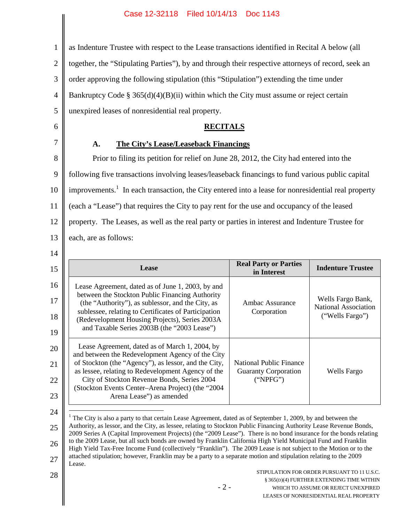as Indenture Trustee with respect to the Lease transactions identified in Recital A below (all

2 together, the "Stipulating Parties"), by and through their respective attorneys of record, seek an

3 order approving the following stipulation (this "Stipulation") extending the time under

4 Bankruptcy Code §  $365(d)(4)(B)(ii)$  within which the City must assume or reject certain

5 6

1

## **RECITALS**

# 7

**A. The City's Lease/Leaseback Financings**

unexpired leases of nonresidential real property.

8 9 10 11 12 13 Prior to filing its petition for relief on June 28, 2012, the City had entered into the following five transactions involving leases/leaseback financings to fund various public capital improvements.<sup>1</sup> In each transaction, the City entered into a lease for nonresidential real property (each a "Lease") that requires the City to pay rent for the use and occupancy of the leased property. The Leases, as well as the real party or parties in interest and Indenture Trustee for each, are as follows:

14

| 16<br>Lease Agreement, dated as of June 1, 2003, by and<br>between the Stockton Public Financing Authority<br>Wells Fargo Bank,<br>17<br>(the "Authority"), as sublessor, and the City, as<br>Ambac Assurance<br>sublessee, relating to Certificates of Participation<br>Corporation<br>("Wells Fargo")<br>18<br>(Redevelopment Housing Projects), Series 2003A<br>and Taxable Series 2003B (the "2003 Lease")<br>19<br>Lease Agreement, dated as of March 1, 2004, by<br>and between the Redevelopment Agency of the City<br>of Stockton (the "Agency"), as lessor, and the City,<br><b>National Public Finance</b><br>as lessee, relating to Redevelopment Agency of the<br><b>Guaranty Corporation</b><br>Wells Fargo<br>City of Stockton Revenue Bonds, Series 2004<br>("NPEG")<br>(Stockton Events Center-Arena Project) (the "2004<br>Arena Lease") as amended | 15 | Lease | <b>Real Party or Parties</b><br>in Interest | <b>Indenture Trustee</b> |
|----------------------------------------------------------------------------------------------------------------------------------------------------------------------------------------------------------------------------------------------------------------------------------------------------------------------------------------------------------------------------------------------------------------------------------------------------------------------------------------------------------------------------------------------------------------------------------------------------------------------------------------------------------------------------------------------------------------------------------------------------------------------------------------------------------------------------------------------------------------------|----|-------|---------------------------------------------|--------------------------|
| 20<br>21<br>22<br>23                                                                                                                                                                                                                                                                                                                                                                                                                                                                                                                                                                                                                                                                                                                                                                                                                                                 |    |       |                                             | National Association     |
|                                                                                                                                                                                                                                                                                                                                                                                                                                                                                                                                                                                                                                                                                                                                                                                                                                                                      |    |       |                                             |                          |

25 26 27 <sup>1</sup> The City is also a party to that certain Lease Agreement, dated as of September 1, 2009, by and between the Authority, as lessor, and the City, as lessee, relating to Stockton Public Financing Authority Lease Revenue Bonds, 2009 Series A (Capital Improvement Projects) (the "2009 Lease"). There is no bond insurance for the bonds relating to the 2009 Lease, but all such bonds are owned by Franklin California High Yield Municipal Fund and Franklin High Yield Tax-Free Income Fund (collectively "Franklin"). The 2009 Lease is not subject to the Motion or to the attached stipulation; however, Franklin may be a party to a separate motion and stipulation relating to the 2009 Lease.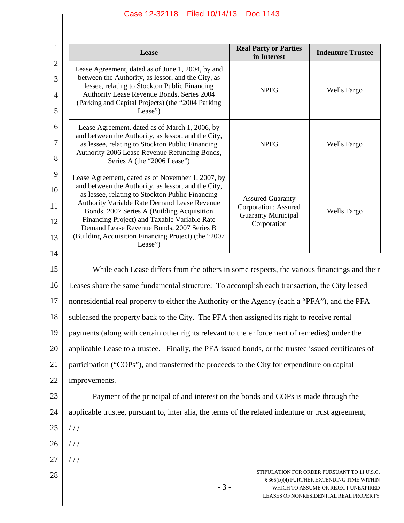| 1                           | Lease                                                                                                                                                                                                                                                                                                                                                                                                                     | <b>Real Party or Parties</b><br>in Interest                                                 | <b>Indenture Trustee</b>                                                                                                                                                  |
|-----------------------------|---------------------------------------------------------------------------------------------------------------------------------------------------------------------------------------------------------------------------------------------------------------------------------------------------------------------------------------------------------------------------------------------------------------------------|---------------------------------------------------------------------------------------------|---------------------------------------------------------------------------------------------------------------------------------------------------------------------------|
| $\mathbf{2}$<br>3<br>4<br>5 | Lease Agreement, dated as of June 1, 2004, by and<br>between the Authority, as lessor, and the City, as<br>lessee, relating to Stockton Public Financing<br>Authority Lease Revenue Bonds, Series 2004<br>(Parking and Capital Projects) (the "2004 Parking<br>Lease")                                                                                                                                                    | <b>NPFG</b>                                                                                 | <b>Wells Fargo</b>                                                                                                                                                        |
| 6<br>7<br>8                 | Lease Agreement, dated as of March 1, 2006, by<br>and between the Authority, as lessor, and the City,<br>as lessee, relating to Stockton Public Financing<br>Authority 2006 Lease Revenue Refunding Bonds,<br>Series A (the "2006 Lease")                                                                                                                                                                                 | <b>NPFG</b>                                                                                 | <b>Wells Fargo</b>                                                                                                                                                        |
| 9<br>10<br>11<br>12<br>13   | Lease Agreement, dated as of November 1, 2007, by<br>and between the Authority, as lessor, and the City,<br>as lessee, relating to Stockton Public Financing<br>Authority Variable Rate Demand Lease Revenue<br>Bonds, 2007 Series A (Building Acquisition<br>Financing Project) and Taxable Variable Rate<br>Demand Lease Revenue Bonds, 2007 Series B<br>(Building Acquisition Financing Project) (the "2007<br>Lease") | <b>Assured Guaranty</b><br>Corporation; Assured<br><b>Guaranty Municipal</b><br>Corporation | Wells Fargo                                                                                                                                                               |
| 14<br>15                    | While each Lease differs from the others in some respects, the various financings and their                                                                                                                                                                                                                                                                                                                               |                                                                                             |                                                                                                                                                                           |
| 16                          | Leases share the same fundamental structure: To accomplish each transaction, the City leased                                                                                                                                                                                                                                                                                                                              |                                                                                             |                                                                                                                                                                           |
| 17                          | nonresidential real property to either the Authority or the Agency (each a "PFA"), and the PFA                                                                                                                                                                                                                                                                                                                            |                                                                                             |                                                                                                                                                                           |
|                             | subleased the property back to the City. The PFA then assigned its right to receive rental                                                                                                                                                                                                                                                                                                                                |                                                                                             |                                                                                                                                                                           |
|                             | payments (along with certain other rights relevant to the enforcement of remedies) under the                                                                                                                                                                                                                                                                                                                              |                                                                                             |                                                                                                                                                                           |
|                             | applicable Lease to a trustee. Finally, the PFA issued bonds, or the trustee issued certificates of                                                                                                                                                                                                                                                                                                                       |                                                                                             |                                                                                                                                                                           |
|                             | participation ("COPs"), and transferred the proceeds to the City for expenditure on capital                                                                                                                                                                                                                                                                                                                               |                                                                                             |                                                                                                                                                                           |
|                             | improvements.                                                                                                                                                                                                                                                                                                                                                                                                             |                                                                                             |                                                                                                                                                                           |
|                             | Payment of the principal of and interest on the bonds and COPs is made through the                                                                                                                                                                                                                                                                                                                                        |                                                                                             |                                                                                                                                                                           |
| 24                          | applicable trustee, pursuant to, inter alia, the terms of the related indenture or trust agreement,                                                                                                                                                                                                                                                                                                                       |                                                                                             |                                                                                                                                                                           |
|                             | //                                                                                                                                                                                                                                                                                                                                                                                                                        |                                                                                             |                                                                                                                                                                           |
|                             |                                                                                                                                                                                                                                                                                                                                                                                                                           |                                                                                             |                                                                                                                                                                           |
|                             |                                                                                                                                                                                                                                                                                                                                                                                                                           |                                                                                             |                                                                                                                                                                           |
| 28                          | $-3-$                                                                                                                                                                                                                                                                                                                                                                                                                     |                                                                                             | STIPULATION FOR ORDER PURSUANT TO 11 U.S.C.<br>§ 365(D)(4) FURTHER EXTENDING TIME WITHIN<br>WHICH TO ASSUME OR REJECT UNEXPIRED<br>LEASES OF NONRESIDENTIAL REAL PROPERTY |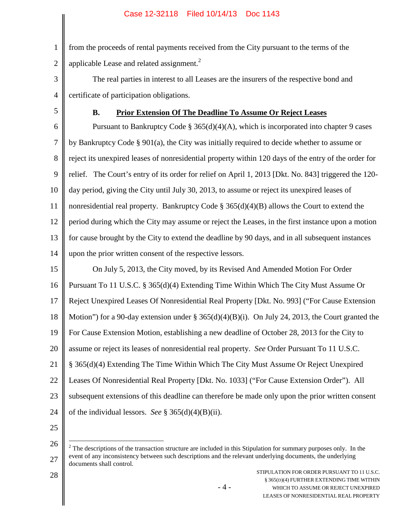1 2 from the proceeds of rental payments received from the City pursuant to the terms of the applicable Lease and related assignment.<sup>2</sup>

- 3 4 The real parties in interest to all Leases are the insurers of the respective bond and certificate of participation obligations.
- 5

## **B. Prior Extension Of The Deadline To Assume Or Reject Leases**

6 7 8 9 10 11 12 13 14 Pursuant to Bankruptcy Code  $\S 365(d)(4)(A)$ , which is incorporated into chapter 9 cases by Bankruptcy Code § 901(a), the City was initially required to decide whether to assume or reject its unexpired leases of nonresidential property within 120 days of the entry of the order for relief. The Court's entry of its order for relief on April 1, 2013 [Dkt. No. 843] triggered the 120 day period, giving the City until July 30, 2013, to assume or reject its unexpired leases of nonresidential real property. Bankruptcy Code  $\S 365(d)(4)(B)$  allows the Court to extend the period during which the City may assume or reject the Leases, in the first instance upon a motion for cause brought by the City to extend the deadline by 90 days, and in all subsequent instances upon the prior written consent of the respective lessors.

15 16 17 18 19 20 21 22 23 24 On July 5, 2013, the City moved, by its Revised And Amended Motion For Order Pursuant To 11 U.S.C. § 365(d)(4) Extending Time Within Which The City Must Assume Or Reject Unexpired Leases Of Nonresidential Real Property [Dkt. No. 993] ("For Cause Extension Motion") for a 90-day extension under §  $365(d)(4)(B)(i)$ . On July 24, 2013, the Court granted the For Cause Extension Motion, establishing a new deadline of October 28, 2013 for the City to assume or reject its leases of nonresidential real property. *See* Order Pursuant To 11 U.S.C. § 365(d)(4) Extending The Time Within Which The City Must Assume Or Reject Unexpired Leases Of Nonresidential Real Property [Dkt. No. 1033] ("For Cause Extension Order"). All subsequent extensions of this deadline can therefore be made only upon the prior written consent of the individual lessors. *See* § 365(d)(4)(B)(ii).

25

<sup>26</sup> 27  $2<sup>2</sup>$  The descriptions of the transaction structure are included in this Stipulation for summary purposes only. In the event of any inconsistency between such descriptions and the relevant underlying documents, the underlying documents shall control.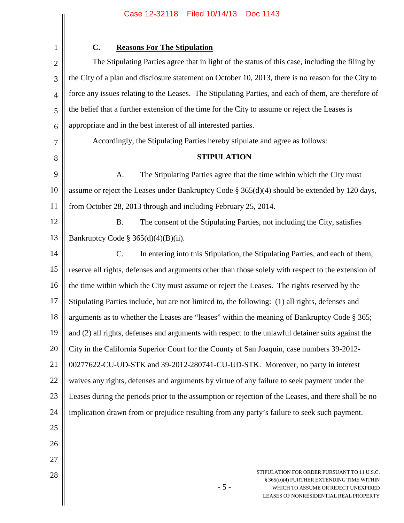$\parallel$ 

 $\mathsf{l}$ 

| 1              | C.<br><b>Reasons For The Stipulation</b>                                                                                                                                           |  |  |
|----------------|------------------------------------------------------------------------------------------------------------------------------------------------------------------------------------|--|--|
| $\overline{2}$ | The Stipulating Parties agree that in light of the status of this case, including the filing by                                                                                    |  |  |
| 3              | the City of a plan and disclosure statement on October 10, 2013, there is no reason for the City to                                                                                |  |  |
| 4              | force any issues relating to the Leases. The Stipulating Parties, and each of them, are therefore of                                                                               |  |  |
| 5              | the belief that a further extension of the time for the City to assume or reject the Leases is                                                                                     |  |  |
| 6              | appropriate and in the best interest of all interested parties.                                                                                                                    |  |  |
| 7              | Accordingly, the Stipulating Parties hereby stipulate and agree as follows:                                                                                                        |  |  |
| 8              | <b>STIPULATION</b>                                                                                                                                                                 |  |  |
| 9              | The Stipulating Parties agree that the time within which the City must<br>A.                                                                                                       |  |  |
| 10             | assume or reject the Leases under Bankruptcy Code $\S 365(d)(4)$ should be extended by 120 days,                                                                                   |  |  |
| 11             | from October 28, 2013 through and including February 25, 2014.                                                                                                                     |  |  |
| 12             | <b>B.</b><br>The consent of the Stipulating Parties, not including the City, satisfies                                                                                             |  |  |
| 13             | Bankruptcy Code § $365(d)(4)(B)(ii)$ .                                                                                                                                             |  |  |
| 14             | In entering into this Stipulation, the Stipulating Parties, and each of them,<br>$\mathbf{C}$ .                                                                                    |  |  |
| 15             | reserve all rights, defenses and arguments other than those solely with respect to the extension of                                                                                |  |  |
| 16             | the time within which the City must assume or reject the Leases. The rights reserved by the                                                                                        |  |  |
| 17             | Stipulating Parties include, but are not limited to, the following: (1) all rights, defenses and                                                                                   |  |  |
| 18             | arguments as to whether the Leases are "leases" within the meaning of Bankruptcy Code § 365;                                                                                       |  |  |
| 19             | and (2) all rights, defenses and arguments with respect to the unlawful detainer suits against the                                                                                 |  |  |
| 20             | City in the California Superior Court for the County of San Joaquin, case numbers 39-2012-                                                                                         |  |  |
| 21             | 00277622-CU-UD-STK and 39-2012-280741-CU-UD-STK. Moreover, no party in interest                                                                                                    |  |  |
| 22             | waives any rights, defenses and arguments by virtue of any failure to seek payment under the                                                                                       |  |  |
| 23             | Leases during the periods prior to the assumption or rejection of the Leases, and there shall be no                                                                                |  |  |
| 24             | implication drawn from or prejudice resulting from any party's failure to seek such payment.                                                                                       |  |  |
| 25             |                                                                                                                                                                                    |  |  |
| 26             |                                                                                                                                                                                    |  |  |
| 27             |                                                                                                                                                                                    |  |  |
| 28             | STIPULATION FOR ORDER PURSUANT TO 11 U.S.C.<br>§ 365(D)(4) FURTHER EXTENDING TIME WITHIN<br>$-5-$<br>WHICH TO ASSUME OR REJECT UNEXPIRED<br>LEASES OF NONRESIDENTIAL REAL PROPERTY |  |  |